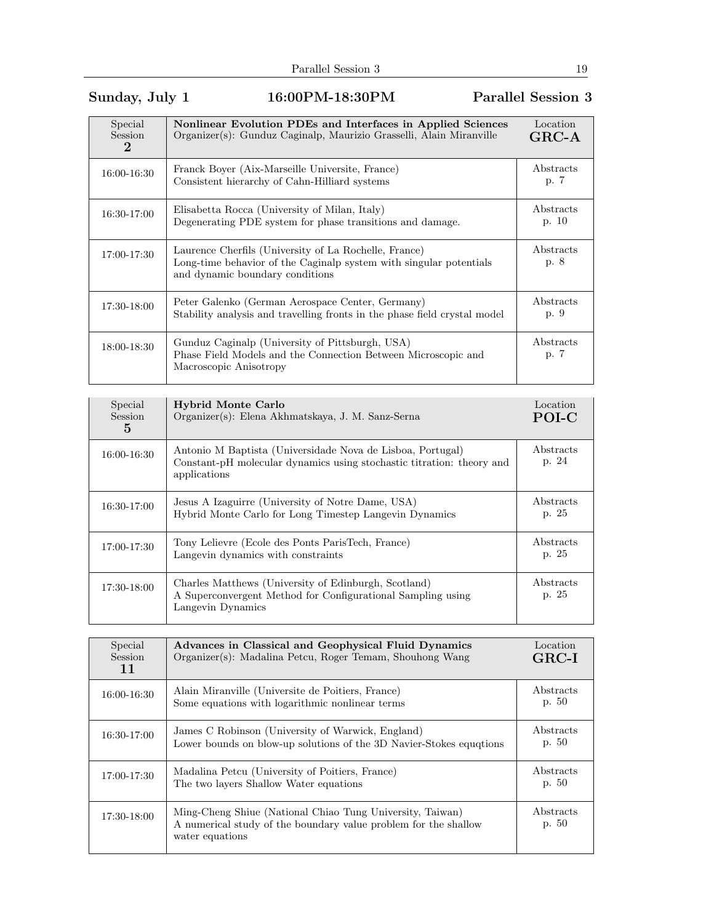## Sunday, July 1 16:00PM-18:30PM Parallel Session 3

| Special<br><b>Session</b><br>$\overline{2}$ | Nonlinear Evolution PDEs and Interfaces in Applied Sciences<br>Organizer(s): Gunduz Caginalp, Maurizio Grasselli, Alain Miranville                             | Location<br>$GRC-A$ |
|---------------------------------------------|----------------------------------------------------------------------------------------------------------------------------------------------------------------|---------------------|
| 16:00-16:30                                 | Franck Boyer (Aix-Marseille Universite, France)<br>Consistent hierarchy of Cahn-Hilliard systems                                                               | Abstracts<br>p. 7   |
| 16:30-17:00                                 | Elisabetta Rocca (University of Milan, Italy)<br>Degenerating PDE system for phase transitions and damage.                                                     | Abstracts<br>p. 10  |
| 17:00-17:30                                 | Laurence Cherfils (University of La Rochelle, France)<br>Long-time behavior of the Caginalp system with singular potentials<br>and dynamic boundary conditions | Abstracts<br>p. 8   |
| 17:30-18:00                                 | Peter Galenko (German Aerospace Center, Germany)<br>Stability analysis and travelling fronts in the phase field crystal model                                  | Abstracts<br>p. 9   |
| 18:00-18:30                                 | Gunduz Caginalp (University of Pittsburgh, USA)<br>Phase Field Models and the Connection Between Microscopic and<br>Macroscopic Anisotropy                     | Abstracts<br>p. 7   |

| Special<br>Session<br>5 | <b>Hybrid Monte Carlo</b><br>Organizer(s): Elena Akhmatskaya, J. M. Sanz-Serna                                                                      | Location<br>POI-C  |
|-------------------------|-----------------------------------------------------------------------------------------------------------------------------------------------------|--------------------|
| 16:00-16:30             | Antonio M Baptista (Universidade Nova de Lisboa, Portugal)<br>Constant-pH molecular dynamics using stochastic titration: theory and<br>applications | Abstracts<br>p. 24 |
| 16:30-17:00             | Jesus A Izaguirre (University of Notre Dame, USA)<br>Hybrid Monte Carlo for Long Timestep Langevin Dynamics                                         | Abstracts<br>p. 25 |
| 17:00-17:30             | Tony Lelievre (Ecole des Ponts Paris Tech, France)<br>Langevin dynamics with constraints                                                            | Abstracts<br>p. 25 |
| 17:30-18:00             | Charles Matthews (University of Edinburgh, Scotland)<br>A Superconvergent Method for Configurational Sampling using<br>Langevin Dynamics            | Abstracts<br>p. 25 |

| Special<br><b>Session</b><br>11 | Advances in Classical and Geophysical Fluid Dynamics<br>Organizer(s): Madalina Petcu, Roger Temam, Shouhong Wang                                | Location<br>$GRC-I$ |
|---------------------------------|-------------------------------------------------------------------------------------------------------------------------------------------------|---------------------|
| 16:00-16:30                     | Alain Miranville (Universite de Poitiers, France)<br>Some equations with logarithmic nonlinear terms                                            | Abstracts<br>p. 50  |
| 16:30-17:00                     | James C Robinson (University of Warwick, England)<br>Lower bounds on blow-up solutions of the 3D Navier-Stokes equations                        | Abstracts<br>p. 50  |
| 17:00-17:30                     | Madalina Petcu (University of Poitiers, France)<br>The two layers Shallow Water equations                                                       | Abstracts<br>p. 50  |
| 17:30-18:00                     | Ming-Cheng Shiue (National Chiao Tung University, Taiwan)<br>A numerical study of the boundary value problem for the shallow<br>water equations | Abstracts<br>p. 50  |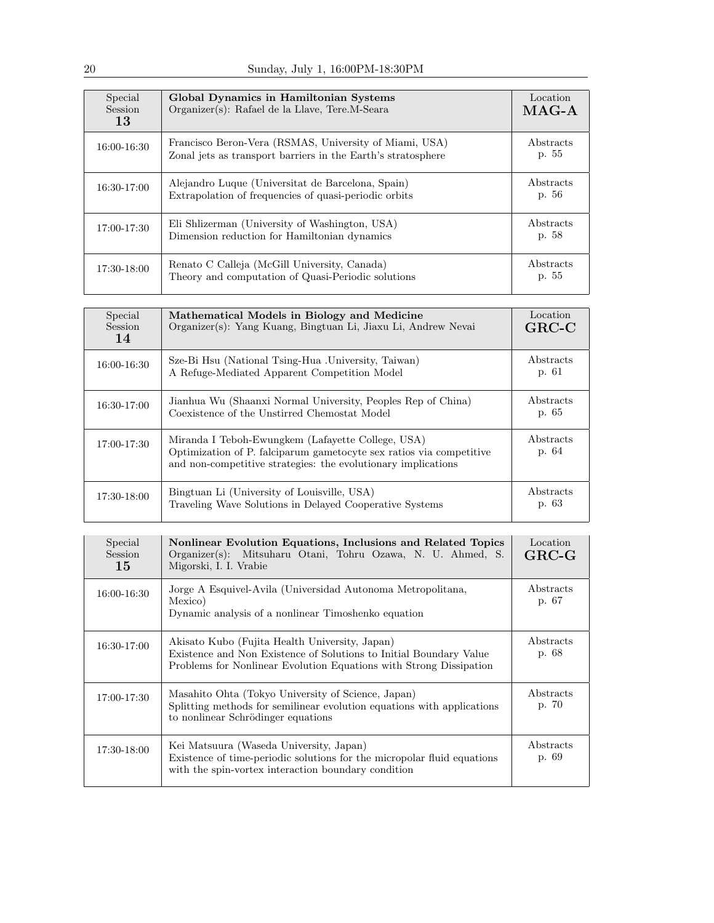| Special<br>Session<br>13 | Global Dynamics in Hamiltonian Systems<br>Organizer(s): Rafael de la Llave, Tere.M-Seara                               | Location<br>$MAG-A$ |
|--------------------------|------------------------------------------------------------------------------------------------------------------------|---------------------|
| 16:00-16:30              | Francisco Beron-Vera (RSMAS, University of Miami, USA)<br>Zonal jets as transport barriers in the Earth's stratosphere | Abstracts<br>p. 55  |
| 16:30-17:00              | Alejandro Luque (Universitat de Barcelona, Spain)<br>Extrapolation of frequencies of quasi-periodic orbits             | Abstracts<br>p. 56  |
| 17:00-17:30              | Eli Shlizerman (University of Washington, USA)<br>Dimension reduction for Hamiltonian dynamics                         | Abstracts<br>p. 58  |
| 17:30-18:00              | Renato C Calleja (McGill University, Canada)<br>Theory and computation of Quasi-Periodic solutions                     | Abstracts<br>p. 55  |

| Special<br><b>Session</b><br>14 | Mathematical Models in Biology and Medicine<br>Organizer(s): Yang Kuang, Bingtuan Li, Jiaxu Li, Andrew Nevai                                                                              | Location<br>$GRC-C$ |
|---------------------------------|-------------------------------------------------------------------------------------------------------------------------------------------------------------------------------------------|---------------------|
| 16:00-16:30                     | Sze-Bi Hsu (National Tsing-Hua .University, Taiwan)<br>A Refuge-Mediated Apparent Competition Model                                                                                       | Abstracts<br>p. 61  |
| 16:30-17:00                     | Jianhua Wu (Shaanxi Normal University, Peoples Rep of China)<br>Coexistence of the Unstirred Chemostat Model                                                                              | Abstracts<br>p. 65  |
| 17:00-17:30                     | Miranda I Teboh-Ewungkem (Lafayette College, USA)<br>Optimization of P. falciparum gametocyte sex ratios via competitive<br>and non-competitive strategies: the evolutionary implications | Abstracts<br>p. 64  |
| 17:30-18:00                     | Bingtuan Li (University of Louisville, USA)<br>Traveling Wave Solutions in Delayed Cooperative Systems                                                                                    | Abstracts<br>p. 63  |

| Special<br>Session<br>15 | Nonlinear Evolution Equations, Inclusions and Related Topics<br>Organizer(s): Mitsuharu Otani, Tohru Ozawa, N. U. Ahmed, S.<br>Migorski, I. I. Vrabie                                      | Location<br>$GRC-G$ |
|--------------------------|--------------------------------------------------------------------------------------------------------------------------------------------------------------------------------------------|---------------------|
| 16:00-16:30              | Jorge A Esquivel-Avila (Universidad Autonoma Metropolitana,<br>Mexico)<br>Dynamic analysis of a nonlinear Timoshenko equation                                                              | Abstracts<br>p. 67  |
| 16:30-17:00              | Akisato Kubo (Fujita Health University, Japan)<br>Existence and Non Existence of Solutions to Initial Boundary Value<br>Problems for Nonlinear Evolution Equations with Strong Dissipation | Abstracts<br>p. 68  |
| 17:00-17:30              | Masahito Ohta (Tokyo University of Science, Japan)<br>Splitting methods for semilinear evolution equations with applications<br>to nonlinear Schrödinger equations                         | Abstracts<br>p. 70  |
| 17:30-18:00              | Kei Matsuura (Waseda University, Japan)<br>Existence of time-periodic solutions for the micropolar fluid equations<br>with the spin-vortex interaction boundary condition                  | Abstracts<br>p. 69  |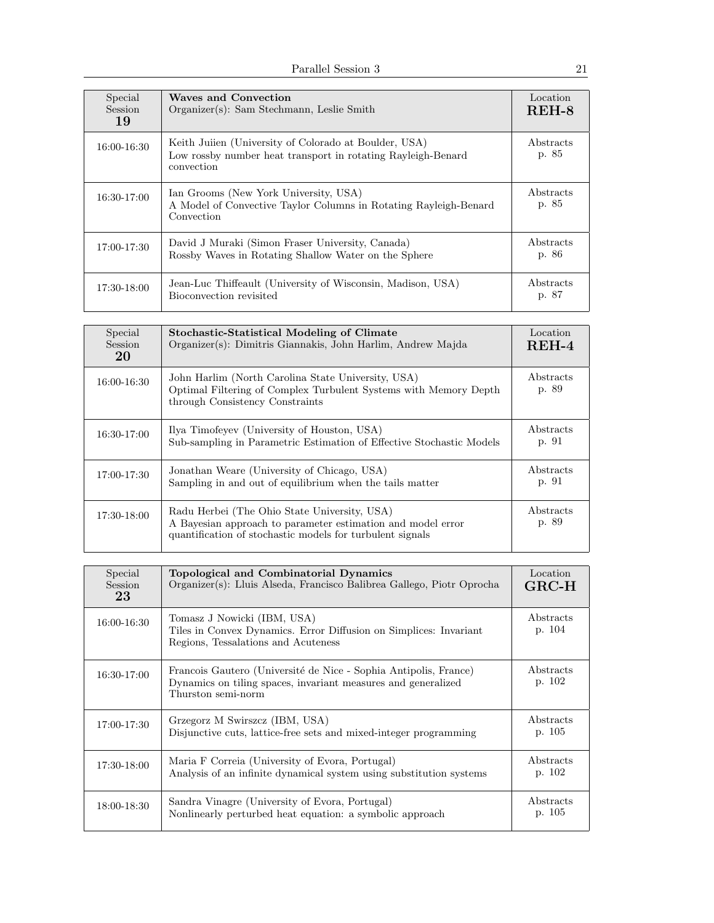| Special<br><b>Session</b><br>19 | Waves and Convection<br>Organizer(s): Sam Stechmann, Leslie Smith                                                                   | Location<br>REH-8  |
|---------------------------------|-------------------------------------------------------------------------------------------------------------------------------------|--------------------|
| 16:00-16:30                     | Keith Juiien (University of Colorado at Boulder, USA)<br>Low rossby number heat transport in rotating Rayleigh-Benard<br>convection | Abstracts<br>p. 85 |
| 16:30-17:00                     | Ian Grooms (New York University, USA)<br>A Model of Convective Taylor Columns in Rotating Rayleigh-Benard<br>Convection             | Abstracts<br>p. 85 |
| 17:00-17:30                     | David J Muraki (Simon Fraser University, Canada)<br>Rossby Waves in Rotating Shallow Water on the Sphere                            | Abstracts<br>p. 86 |
| 17:30-18:00                     | Jean-Luc Thiffeault (University of Wisconsin, Madison, USA)<br>Bioconvection revisited                                              | Abstracts<br>p. 87 |

| Special<br><b>Session</b><br>20 | <b>Stochastic-Statistical Modeling of Climate</b><br>Organizer(s): Dimitris Giannakis, John Harlim, Andrew Majda                                                         | Location<br>$REH-4$ |
|---------------------------------|--------------------------------------------------------------------------------------------------------------------------------------------------------------------------|---------------------|
| 16:00-16:30                     | John Harlim (North Carolina State University, USA)<br>Optimal Filtering of Complex Turbulent Systems with Memory Depth<br>through Consistency Constraints                | Abstracts<br>p. 89  |
| 16:30-17:00                     | Ilya Timofeyev (University of Houston, USA)<br>Sub-sampling in Parametric Estimation of Effective Stochastic Models                                                      | Abstracts<br>p. 91  |
| 17:00-17:30                     | Jonathan Weare (University of Chicago, USA)<br>Sampling in and out of equilibrium when the tails matter                                                                  | Abstracts<br>p. 91  |
| 17:30-18:00                     | Radu Herbei (The Ohio State University, USA)<br>A Bayesian approach to parameter estimation and model error<br>quantification of stochastic models for turbulent signals | Abstracts<br>p. 89  |

| Special<br>Session<br>23 | Topological and Combinatorial Dynamics<br>Organizer(s): Lluis Alseda, Francisco Balibrea Gallego, Piotr Oprocha                                         | Location<br>$GRC-H$ |
|--------------------------|---------------------------------------------------------------------------------------------------------------------------------------------------------|---------------------|
| 16:00-16:30              | Tomasz J Nowicki (IBM, USA)<br>Tiles in Convex Dynamics. Error Diffusion on Simplices: Invariant<br>Regions, Tessalations and Acuteness                 | Abstracts<br>p. 104 |
| 16:30-17:00              | Francois Gautero (Université de Nice - Sophia Antipolis, France)<br>Dynamics on tiling spaces, invariant measures and generalized<br>Thurston semi-norm | Abstracts<br>p. 102 |
| 17:00-17:30              | Grzegorz M Swirszcz (IBM, USA)<br>Disjunctive cuts, lattice-free sets and mixed-integer programming                                                     | Abstracts<br>p. 105 |
| 17:30-18:00              | Maria F Correia (University of Evora, Portugal)<br>Analysis of an infinite dynamical system using substitution systems                                  | Abstracts<br>p. 102 |
| 18:00-18:30              | Sandra Vinagre (University of Evora, Portugal)<br>Nonlinearly perturbed heat equation: a symbolic approach                                              | Abstracts<br>p. 105 |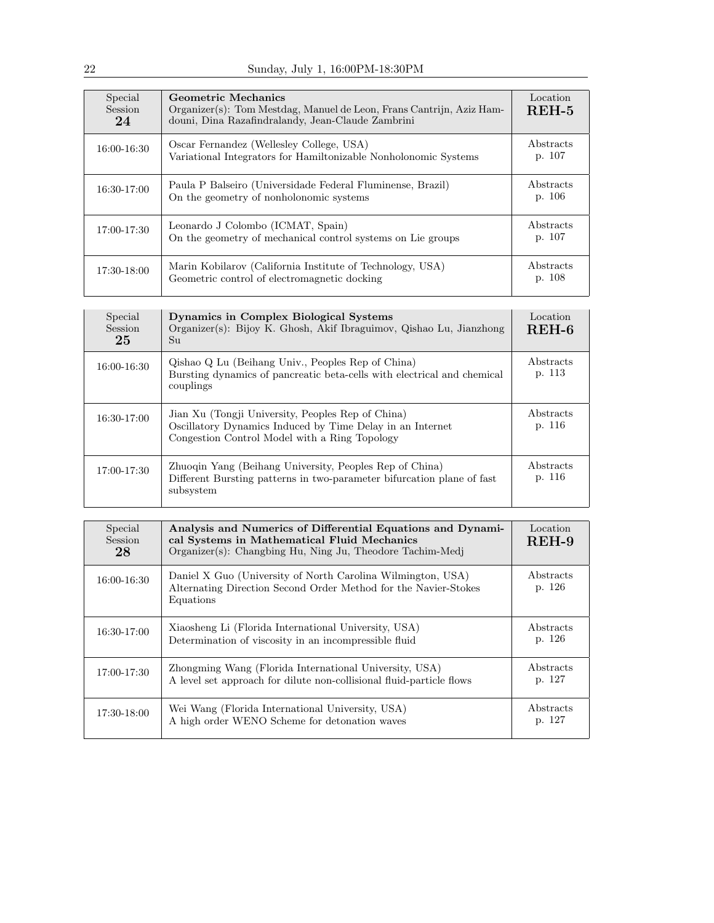| Special<br>Session<br>24 | Geometric Mechanics<br>Organizer(s): Tom Mestdag, Manuel de Leon, Frans Cantrijn, Aziz Ham-<br>douni, Dina Razafindralandy, Jean-Claude Zambrini | Location<br>$REH-5$ |
|--------------------------|--------------------------------------------------------------------------------------------------------------------------------------------------|---------------------|
| 16:00-16:30              | Oscar Fernandez (Wellesley College, USA)<br>Variational Integrators for Hamiltonizable Nonholonomic Systems                                      | Abstracts<br>p. 107 |
| 16:30-17:00              | Paula P Balseiro (Universidade Federal Fluminense, Brazil)<br>On the geometry of nonholonomic systems                                            | Abstracts<br>p. 106 |
| 17:00-17:30              | Leonardo J Colombo (ICMAT, Spain)<br>On the geometry of mechanical control systems on Lie groups                                                 | Abstracts<br>p. 107 |
| 17:30-18:00              | Marin Kobilarov (California Institute of Technology, USA)<br>Geometric control of electromagnetic docking                                        | Abstracts<br>p. 108 |

| Special<br><b>Session</b><br>25 | Dynamics in Complex Biological Systems<br>Organizer(s): Bijoy K. Ghosh, Akif Ibraguimov, Qishao Lu, Jianzhong<br>Su                                             | Location<br>REH-6   |
|---------------------------------|-----------------------------------------------------------------------------------------------------------------------------------------------------------------|---------------------|
| $16:00 - 16:30$                 | Qishao Q Lu (Beihang Univ., Peoples Rep of China)<br>Bursting dynamics of pancreatic beta-cells with electrical and chemical<br>couplings                       | Abstracts<br>p. 113 |
| $16:30-17:00$                   | Jian Xu (Tongji University, Peoples Rep of China)<br>Oscillatory Dynamics Induced by Time Delay in an Internet<br>Congestion Control Model with a Ring Topology | Abstracts<br>p. 116 |
| 17:00-17:30                     | Zhuogin Yang (Beihang University, Peoples Rep of China)<br>Different Bursting patterns in two-parameter bifurcation plane of fast<br>subsystem                  | Abstracts<br>p. 116 |

| Special<br>Session<br>28 | Analysis and Numerics of Differential Equations and Dynami-<br>cal Systems in Mathematical Fluid Mechanics<br>Organizer(s): Changbing Hu, Ning Ju, Theodore Tachim-Medj | Location<br>$REH-9$ |
|--------------------------|-------------------------------------------------------------------------------------------------------------------------------------------------------------------------|---------------------|
| 16:00-16:30              | Daniel X Guo (University of North Carolina Wilmington, USA)<br>Alternating Direction Second Order Method for the Navier-Stokes<br>Equations                             | Abstracts<br>p. 126 |
| 16:30-17:00              | Xiaosheng Li (Florida International University, USA)<br>Determination of viscosity in an incompressible fluid                                                           | Abstracts<br>p. 126 |
| 17:00-17:30              | Zhongming Wang (Florida International University, USA)<br>A level set approach for dilute non-collisional fluid-particle flows                                          | Abstracts<br>p. 127 |
| 17:30-18:00              | Wei Wang (Florida International University, USA)<br>A high order WENO Scheme for detonation waves                                                                       | Abstracts<br>p. 127 |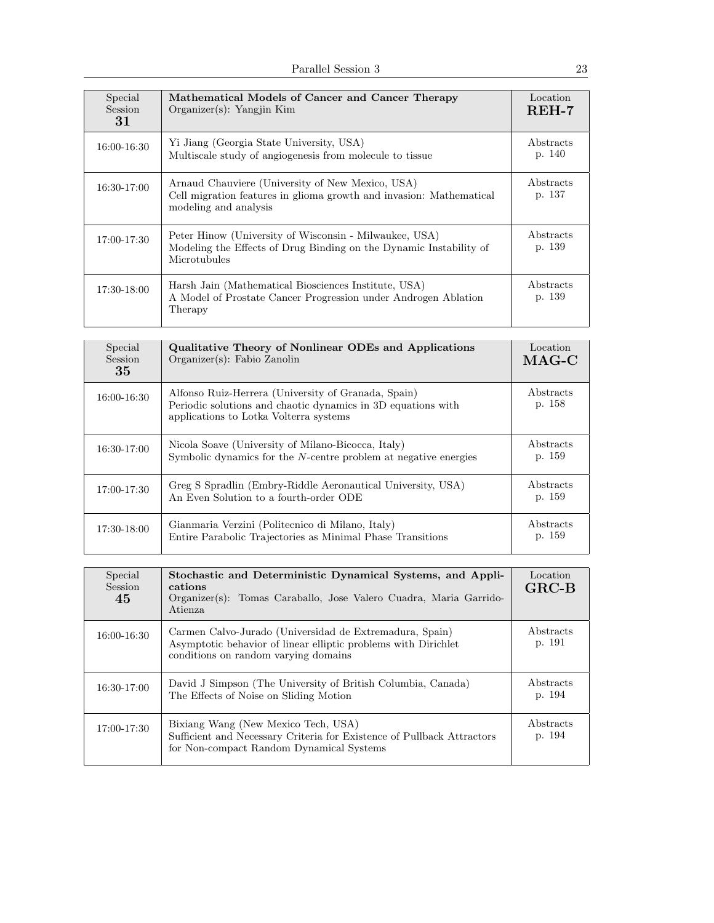| Special<br><b>Session</b><br>31 | Mathematical Models of Cancer and Cancer Therapy<br>Organizer(s): Yangjin Kim                                                                    | Location<br>$REH-7$ |
|---------------------------------|--------------------------------------------------------------------------------------------------------------------------------------------------|---------------------|
| 16:00-16:30                     | Yi Jiang (Georgia State University, USA)<br>Multiscale study of angiogenesis from molecule to tissue                                             | Abstracts<br>p. 140 |
| 16:30-17:00                     | Arnaud Chauviere (University of New Mexico, USA)<br>Cell migration features in glioma growth and invasion: Mathematical<br>modeling and analysis | Abstracts<br>p. 137 |
| 17:00-17:30                     | Peter Hinow (University of Wisconsin - Milwaukee, USA)<br>Modeling the Effects of Drug Binding on the Dynamic Instability of<br>Microtubules     | Abstracts<br>p. 139 |
| 17:30-18:00                     | Harsh Jain (Mathematical Biosciences Institute, USA)<br>A Model of Prostate Cancer Progression under Androgen Ablation<br>Therapy                | Abstracts<br>p. 139 |

| Special<br>Session<br>35 | Qualitative Theory of Nonlinear ODEs and Applications<br>$Organizer(s)$ : Fabio Zanolin                                                                       | Location<br>$MAG-C$ |
|--------------------------|---------------------------------------------------------------------------------------------------------------------------------------------------------------|---------------------|
| 16:00-16:30              | Alfonso Ruiz-Herrera (University of Granada, Spain)<br>Periodic solutions and chaotic dynamics in 3D equations with<br>applications to Lotka Volterra systems | Abstracts<br>p. 158 |
| 16:30-17:00              | Nicola Soave (University of Milano-Bicocca, Italy)<br>Symbolic dynamics for the N-centre problem at negative energies                                         | Abstracts<br>p. 159 |
| 17:00-17:30              | Greg S Spradlin (Embry-Riddle Aeronautical University, USA)<br>An Even Solution to a fourth-order ODE                                                         | Abstracts<br>p. 159 |
| 17:30-18:00              | Gianmaria Verzini (Politecnico di Milano, Italy)<br>Entire Parabolic Trajectories as Minimal Phase Transitions                                                | Abstracts<br>p. 159 |

| Special<br>Session<br>45 | Stochastic and Deterministic Dynamical Systems, and Appli-<br>cations<br>Organizer(s): Tomas Caraballo, Jose Valero Cuadra, Maria Garrido-<br>Atienza             | Location<br>$GRC-B$ |
|--------------------------|-------------------------------------------------------------------------------------------------------------------------------------------------------------------|---------------------|
| 16:00-16:30              | Carmen Calvo-Jurado (Universidad de Extremadura, Spain)<br>Asymptotic behavior of linear elliptic problems with Dirichlet<br>conditions on random varying domains | Abstracts<br>p. 191 |
| 16:30-17:00              | David J Simpson (The University of British Columbia, Canada)<br>The Effects of Noise on Sliding Motion                                                            | Abstracts<br>p. 194 |
| 17:00-17:30              | Bixiang Wang (New Mexico Tech, USA)<br>Sufficient and Necessary Criteria for Existence of Pullback Attractors<br>for Non-compact Random Dynamical Systems         | Abstracts<br>p. 194 |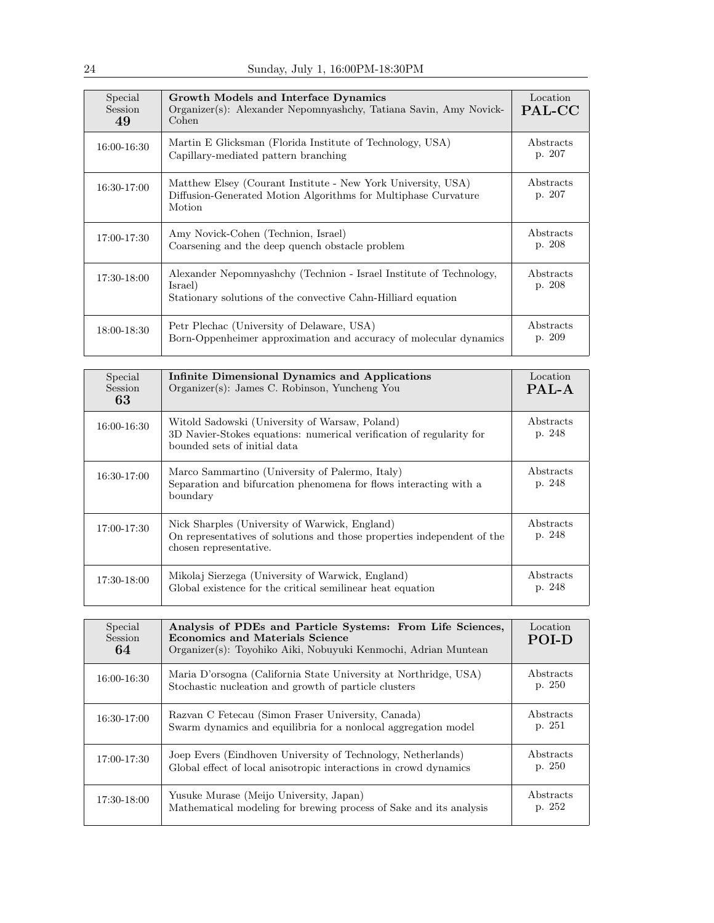| Special<br><b>Session</b><br>49 | Growth Models and Interface Dynamics<br>Organizer(s): Alexander Nepomnyashchy, Tatiana Savin, Amy Novick-<br>Cohen                              | Location<br>PAL-CC  |
|---------------------------------|-------------------------------------------------------------------------------------------------------------------------------------------------|---------------------|
| 16:00-16:30                     | Martin E Glicksman (Florida Institute of Technology, USA)<br>Capillary-mediated pattern branching                                               | Abstracts<br>p. 207 |
| 16:30-17:00                     | Matthew Elsey (Courant Institute - New York University, USA)<br>Diffusion-Generated Motion Algorithms for Multiphase Curvature<br>Motion        | Abstracts<br>p. 207 |
| 17:00-17:30                     | Amy Novick-Cohen (Technion, Israel)<br>Coarsening and the deep quench obstacle problem                                                          | Abstracts<br>p. 208 |
| 17:30-18:00                     | Alexander Nepomnyashchy (Technion - Israel Institute of Technology,<br>Israel)<br>Stationary solutions of the convective Cahn-Hilliard equation | Abstracts<br>p. 208 |
| 18:00-18:30                     | Petr Plechac (University of Delaware, USA)<br>Born-Oppenheimer approximation and accuracy of molecular dynamics                                 | Abstracts<br>p. 209 |

| Special<br><b>Session</b><br>63 | Infinite Dimensional Dynamics and Applications<br>Organizer(s): James C. Robinson, Yuncheng You                                                        | Location<br>PAL-A   |
|---------------------------------|--------------------------------------------------------------------------------------------------------------------------------------------------------|---------------------|
| 16:00-16:30                     | Witold Sadowski (University of Warsaw, Poland)<br>3D Navier-Stokes equations: numerical verification of regularity for<br>bounded sets of initial data | Abstracts<br>p. 248 |
| 16:30-17:00                     | Marco Sammartino (University of Palermo, Italy)<br>Separation and bifurcation phenomena for flows interacting with a<br>boundary                       | Abstracts<br>p. 248 |
| 17:00-17:30                     | Nick Sharples (University of Warwick, England)<br>On representatives of solutions and those properties independent of the<br>chosen representative.    | Abstracts<br>p. 248 |
| 17:30-18:00                     | Mikolaj Sierzega (University of Warwick, England)<br>Global existence for the critical semilinear heat equation                                        | Abstracts<br>p. 248 |

| Special<br><b>Session</b><br>64 | Analysis of PDEs and Particle Systems: From Life Sciences,<br><b>Economics and Materials Science</b><br>Organizer(s): Toyohiko Aiki, Nobuyuki Kenmochi, Adrian Muntean | Location<br>POI-D   |
|---------------------------------|------------------------------------------------------------------------------------------------------------------------------------------------------------------------|---------------------|
| 16:00-16:30                     | Maria D'orsogna (California State University at Northridge, USA)<br>Stochastic nucleation and growth of particle clusters                                              | Abstracts<br>p. 250 |
| 16:30-17:00                     | Razvan C Fetecau (Simon Fraser University, Canada)<br>Swarm dynamics and equilibria for a nonlocal aggregation model                                                   | Abstracts<br>p. 251 |
| 17:00-17:30                     | Joep Evers (Eindhoven University of Technology, Netherlands)<br>Global effect of local anisotropic interactions in crowd dynamics                                      | Abstracts<br>p. 250 |
| 17:30-18:00                     | Yusuke Murase (Meijo University, Japan)<br>Mathematical modeling for brewing process of Sake and its analysis                                                          | Abstracts<br>p. 252 |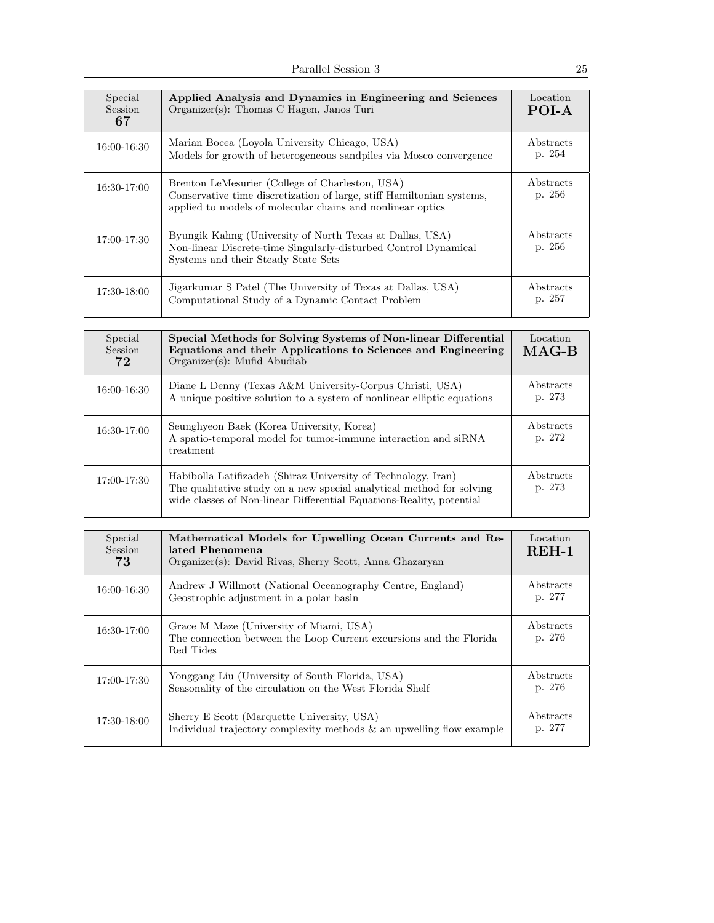| Special<br><b>Session</b><br>67 | Applied Analysis and Dynamics in Engineering and Sciences<br>Organizer(s): Thomas C Hagen, Janos Turi                                                                                  | Location<br>POI-A   |
|---------------------------------|----------------------------------------------------------------------------------------------------------------------------------------------------------------------------------------|---------------------|
| 16:00-16:30                     | Marian Bocea (Loyola University Chicago, USA)<br>Models for growth of heterogeneous sandpiles via Mosco convergence                                                                    | Abstracts<br>p. 254 |
| 16:30-17:00                     | Brenton LeMesurier (College of Charleston, USA)<br>Conservative time discretization of large, stiff Hamiltonian systems,<br>applied to models of molecular chains and nonlinear optics | Abstracts<br>p. 256 |
| 17:00-17:30                     | Byungik Kahng (University of North Texas at Dallas, USA)<br>Non-linear Discrete-time Singularly-disturbed Control Dynamical<br>Systems and their Steady State Sets                     | Abstracts<br>p. 256 |
| 17:30-18:00                     | Jigarkumar S Patel (The University of Texas at Dallas, USA)<br>Computational Study of a Dynamic Contact Problem                                                                        | Abstracts<br>p. 257 |

| Special<br><b>Session</b><br>72 | Special Methods for Solving Systems of Non-linear Differential<br>Equations and their Applications to Sciences and Engineering<br>$Organizer(s)$ : Mufid Abudiab                                              | Location<br>$MAG-B$ |
|---------------------------------|---------------------------------------------------------------------------------------------------------------------------------------------------------------------------------------------------------------|---------------------|
| $16:00 - 16:30$                 | Diane L Denny (Texas A&M University-Corpus Christi, USA)<br>A unique positive solution to a system of nonlinear elliptic equations                                                                            | Abstracts<br>p. 273 |
| 16:30-17:00                     | Seunghyeon Baek (Korea University, Korea)<br>A spatio-temporal model for tumor-immune interaction and siRNA<br>treatment                                                                                      | Abstracts<br>p. 272 |
| 17:00-17:30                     | Habibolla Latifizadeh (Shiraz University of Technology, Iran)<br>The qualitative study on a new special analytical method for solving<br>wide classes of Non-linear Differential Equations-Reality, potential | Abstracts<br>p. 273 |

| Special<br><b>Session</b><br>73 | Mathematical Models for Upwelling Ocean Currents and Re-<br>lated Phenomena<br>Organizer(s): David Rivas, Sherry Scott, Anna Ghazaryan | Location<br>$REH-1$ |
|---------------------------------|----------------------------------------------------------------------------------------------------------------------------------------|---------------------|
| 16:00-16:30                     | Andrew J Willmott (National Oceanography Centre, England)<br>Geostrophic adjustment in a polar basin                                   | Abstracts<br>p. 277 |
| 16:30-17:00                     | Grace M Maze (University of Miami, USA)<br>The connection between the Loop Current excursions and the Florida<br>Red Tides             | Abstracts<br>p. 276 |
| 17:00-17:30                     | Yonggang Liu (University of South Florida, USA)<br>Seasonality of the circulation on the West Florida Shelf                            | Abstracts<br>p. 276 |
| 17:30-18:00                     | Sherry E Scott (Marquette University, USA)<br>Individual trajectory complexity methods & an upwelling flow example                     | Abstracts<br>p. 277 |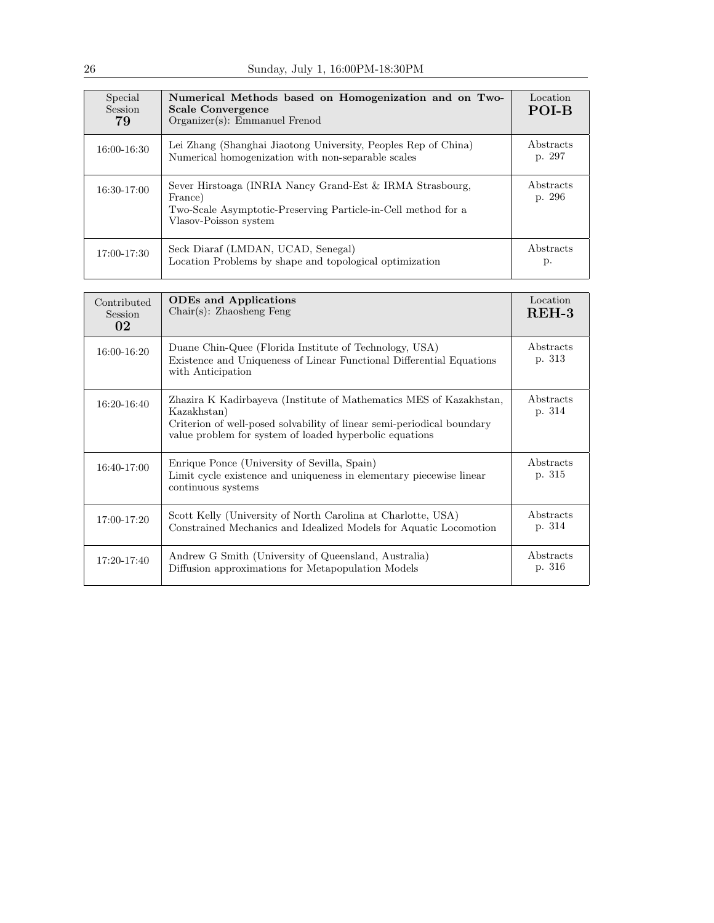| Special<br><b>Session</b><br>79 | Numerical Methods based on Homogenization and on Two-<br><b>Scale Convergence</b><br>$Organizer(s)$ : Emmanuel Frenod                                          | Location<br>POI-B          |
|---------------------------------|----------------------------------------------------------------------------------------------------------------------------------------------------------------|----------------------------|
| 16:00-16:30                     | Lei Zhang (Shanghai Jiaotong University, Peoples Rep of China)<br>Numerical homogenization with non-separable scales                                           | <b>Abstracts</b><br>p. 297 |
| $16:30-17:00$                   | Sever Hirstoaga (INRIA Nancy Grand-Est & IRMA Strasbourg,<br>France)<br>Two-Scale Asymptotic-Preserving Particle-in-Cell method for a<br>Vlasov-Poisson system | <b>Abstracts</b><br>p. 296 |
| 17:00-17:30                     | Seck Diaraf (LMDAN, UCAD, Senegal)<br>Location Problems by shape and topological optimization                                                                  | Abstracts<br>р.            |

| Contributed<br>Session<br>02 | <b>ODEs</b> and Applications<br>$Chair(s):$ Zhaosheng Feng                                                                                                                                                             | Location<br>$REH-3$ |
|------------------------------|------------------------------------------------------------------------------------------------------------------------------------------------------------------------------------------------------------------------|---------------------|
| 16:00-16:20                  | Duane Chin-Quee (Florida Institute of Technology, USA)<br>Existence and Uniqueness of Linear Functional Differential Equations<br>with Anticipation                                                                    | Abstracts<br>p. 313 |
| 16:20-16:40                  | Zhazira K Kadirbayeva (Institute of Mathematics MES of Kazakhstan,<br>Kazakhstan)<br>Criterion of well-posed solvability of linear semi-periodical boundary<br>value problem for system of loaded hyperbolic equations | Abstracts<br>p. 314 |
| 16:40-17:00                  | Enrique Ponce (University of Sevilla, Spain)<br>Limit cycle existence and uniqueness in elementary piecewise linear<br>continuous systems                                                                              | Abstracts<br>p. 315 |
| $17:00 - 17:20$              | Scott Kelly (University of North Carolina at Charlotte, USA)<br>Constrained Mechanics and Idealized Models for Aquatic Locomotion                                                                                      | Abstracts<br>p. 314 |
| $17:20 - 17:40$              | Andrew G Smith (University of Queensland, Australia)<br>Diffusion approximations for Metapopulation Models                                                                                                             | Abstracts<br>p. 316 |